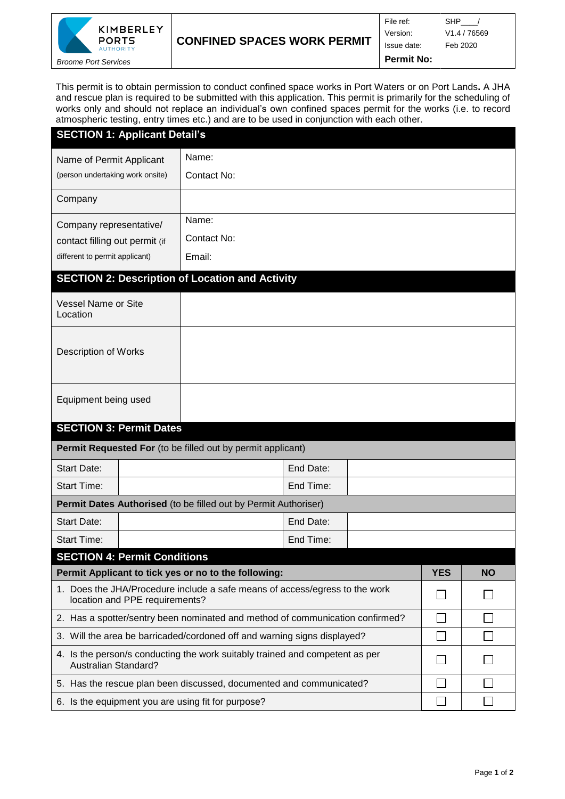

**Permit No:**

This permit is to obtain permission to conduct confined space works in Port Waters or on Port Lands**.** A JHA and rescue plan is required to be submitted with this application. This permit is primarily for the scheduling of works only and should not replace an individual's own confined spaces permit for the works (i.e. to record atmospheric testing, entry times etc.) and are to be used in conjunction with each other.

| <b>SECTION 1: Applicant Detail's</b>                                                                                                |             |           |  |            |           |  |  |  |  |  |
|-------------------------------------------------------------------------------------------------------------------------------------|-------------|-----------|--|------------|-----------|--|--|--|--|--|
| Name of Permit Applicant                                                                                                            | Name:       |           |  |            |           |  |  |  |  |  |
| (person undertaking work onsite)                                                                                                    | Contact No: |           |  |            |           |  |  |  |  |  |
| Company                                                                                                                             |             |           |  |            |           |  |  |  |  |  |
| Company representative/                                                                                                             | Name:       |           |  |            |           |  |  |  |  |  |
| contact filling out permit (if                                                                                                      | Contact No: |           |  |            |           |  |  |  |  |  |
| different to permit applicant)                                                                                                      | Email:      |           |  |            |           |  |  |  |  |  |
| <b>SECTION 2: Description of Location and Activity</b>                                                                              |             |           |  |            |           |  |  |  |  |  |
| <b>Vessel Name or Site</b><br>Location                                                                                              |             |           |  |            |           |  |  |  |  |  |
| <b>Description of Works</b>                                                                                                         |             |           |  |            |           |  |  |  |  |  |
| Equipment being used                                                                                                                |             |           |  |            |           |  |  |  |  |  |
| <b>SECTION 3: Permit Dates</b>                                                                                                      |             |           |  |            |           |  |  |  |  |  |
| Permit Requested For (to be filled out by permit applicant)                                                                         |             |           |  |            |           |  |  |  |  |  |
| <b>Start Date:</b>                                                                                                                  |             | End Date: |  |            |           |  |  |  |  |  |
| <b>Start Time:</b>                                                                                                                  |             | End Time: |  |            |           |  |  |  |  |  |
| Permit Dates Authorised (to be filled out by Permit Authoriser)                                                                     |             |           |  |            |           |  |  |  |  |  |
| <b>Start Date:</b>                                                                                                                  |             | End Date: |  |            |           |  |  |  |  |  |
| <b>Start Time:</b>                                                                                                                  |             | End Time: |  |            |           |  |  |  |  |  |
| <b>SECTION 4: Permit Conditions</b>                                                                                                 |             |           |  | <b>YES</b> | <b>NO</b> |  |  |  |  |  |
| Permit Applicant to tick yes or no to the following:<br>1. Does the JHA/Procedure include a safe means of access/egress to the work |             |           |  |            |           |  |  |  |  |  |
| location and PPE requirements?                                                                                                      |             |           |  |            |           |  |  |  |  |  |
| 2. Has a spotter/sentry been nominated and method of communication confirmed?                                                       |             |           |  |            |           |  |  |  |  |  |
| 3. Will the area be barricaded/cordoned off and warning signs displayed?                                                            |             |           |  |            |           |  |  |  |  |  |
| 4. Is the person/s conducting the work suitably trained and competent as per<br><b>Australian Standard?</b>                         |             |           |  |            |           |  |  |  |  |  |
| 5. Has the rescue plan been discussed, documented and communicated?                                                                 |             |           |  |            |           |  |  |  |  |  |
| 6. Is the equipment you are using fit for purpose?                                                                                  |             |           |  |            |           |  |  |  |  |  |